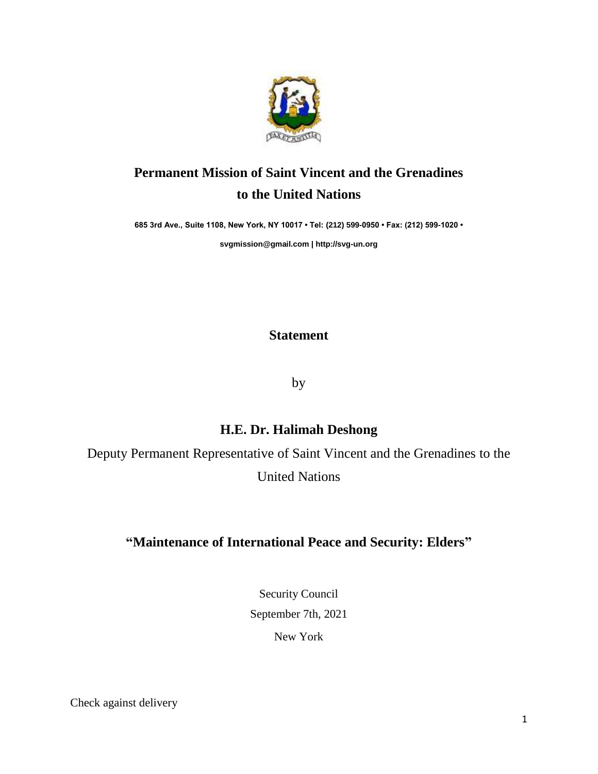

## **Permanent Mission of Saint Vincent and the Grenadines to the United Nations**

**685 3rd Ave., Suite 1108, New York, NY 10017 • Tel: (212) 599-0950 • Fax: (212) 599-1020 •** 

**[svgmission@gmail.com](mailto:svgmission@gmail.com) [| http://svg-un.org](http://svg-un.org/)**

## **Statement**

by

## **H.E. Dr. Halimah Deshong**

Deputy Permanent Representative of Saint Vincent and the Grenadines to the United Nations

## **"Maintenance of International Peace and Security: Elders"**

Security Council September 7th, 2021 New York

Check against delivery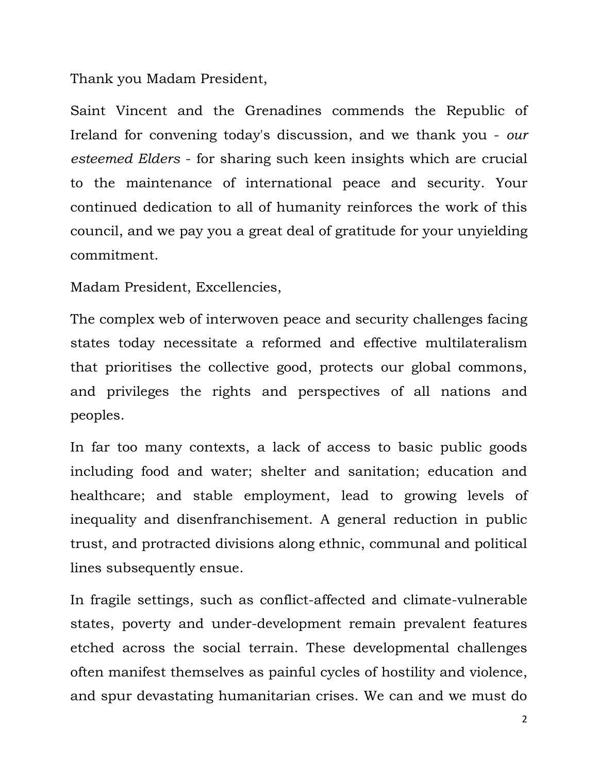Thank you Madam President,

Saint Vincent and the Grenadines commends the Republic of Ireland for convening today's discussion, and we thank you - *our esteemed Elders* - for sharing such keen insights which are crucial to the maintenance of international peace and security. Your continued dedication to all of humanity reinforces the work of this council, and we pay you a great deal of gratitude for your unyielding commitment.

Madam President, Excellencies,

The complex web of interwoven peace and security challenges facing states today necessitate a reformed and effective multilateralism that prioritises the collective good, protects our global commons, and privileges the rights and perspectives of all nations and peoples.

In far too many contexts, a lack of access to basic public goods including food and water; shelter and sanitation; education and healthcare; and stable employment, lead to growing levels of inequality and disenfranchisement. A general reduction in public trust, and protracted divisions along ethnic, communal and political lines subsequently ensue.

In fragile settings, such as conflict-affected and climate-vulnerable states, poverty and under-development remain prevalent features etched across the social terrain. These developmental challenges often manifest themselves as painful cycles of hostility and violence, and spur devastating humanitarian crises. We can and we must do

2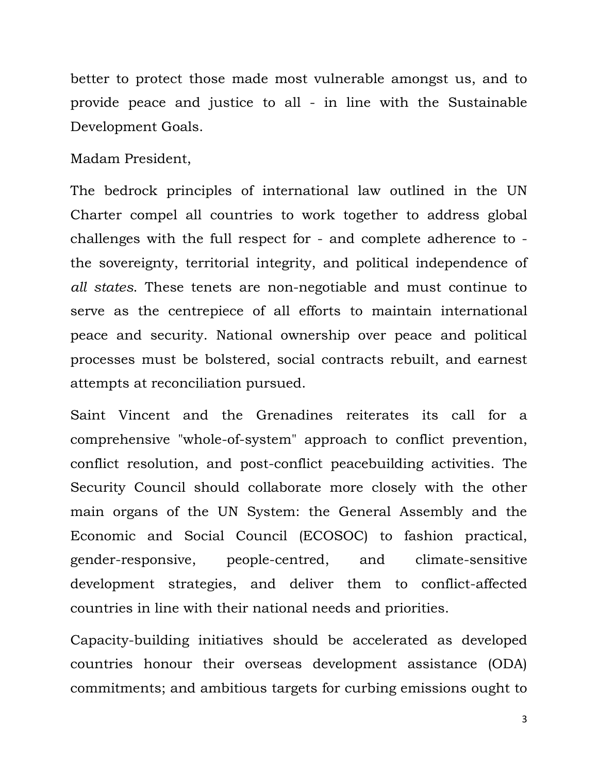better to protect those made most vulnerable amongst us, and to provide peace and justice to all - in line with the Sustainable Development Goals.

Madam President,

The bedrock principles of international law outlined in the UN Charter compel all countries to work together to address global challenges with the full respect for - and complete adherence to the sovereignty, territorial integrity, and political independence of *all states*. These tenets are non-negotiable and must continue to serve as the centrepiece of all efforts to maintain international peace and security. National ownership over peace and political processes must be bolstered, social contracts rebuilt, and earnest attempts at reconciliation pursued.

Saint Vincent and the Grenadines reiterates its call for a comprehensive "whole-of-system" approach to conflict prevention, conflict resolution, and post-conflict peacebuilding activities. The Security Council should collaborate more closely with the other main organs of the UN System: the General Assembly and the Economic and Social Council (ECOSOC) to fashion practical, gender-responsive, people-centred, and climate-sensitive development strategies, and deliver them to conflict-affected countries in line with their national needs and priorities.

Capacity-building initiatives should be accelerated as developed countries honour their overseas development assistance (ODA) commitments; and ambitious targets for curbing emissions ought to

3